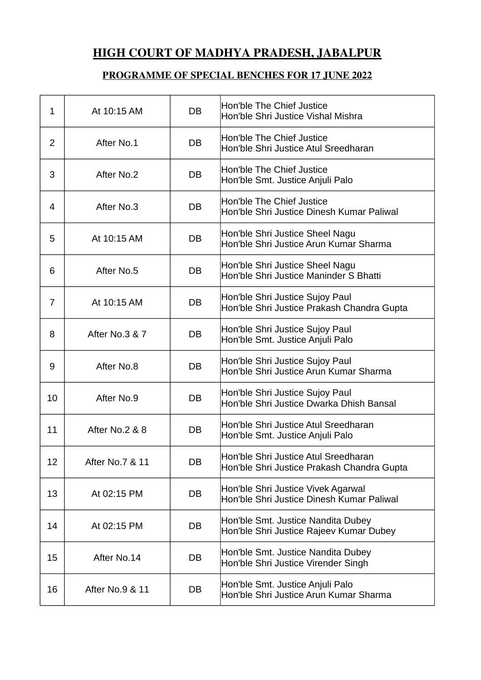## HIGH COURT OF MADHYA PRADESH, JABALPUR

## **PROGRAMME OF SPECIAL BENCHES FOR 17 JUNE 2022**

| $\mathbf{1}$   | At 10:15 AM     | <b>DB</b> | Hon'ble The Chief Justice<br>Hon'ble Shri Justice Vishal Mishra                    |
|----------------|-----------------|-----------|------------------------------------------------------------------------------------|
| $\overline{2}$ | After No.1      | DB        | Hon'ble The Chief Justice<br>Hon'ble Shri Justice Atul Sreedharan                  |
| 3              | After No.2      | DB        | Hon'ble The Chief Justice<br>Hon'ble Smt. Justice Anjuli Palo                      |
| 4              | After No.3      | <b>DB</b> | Hon'ble The Chief Justice<br>Hon'ble Shri Justice Dinesh Kumar Paliwal             |
| 5              | At 10:15 AM     | <b>DB</b> | Hon'ble Shri Justice Sheel Nagu<br>Hon'ble Shri Justice Arun Kumar Sharma          |
| 6              | After No.5      | DB        | Hon'ble Shri Justice Sheel Nagu<br>Hon'ble Shri Justice Maninder S Bhatti          |
| 7              | At 10:15 AM     | DB        | Hon'ble Shri Justice Sujoy Paul<br>Hon'ble Shri Justice Prakash Chandra Gupta      |
| 8              | After No.3 & 7  | DB        | Hon'ble Shri Justice Sujoy Paul<br>Hon'ble Smt. Justice Anjuli Palo                |
| 9              | After No.8      | DB        | Hon'ble Shri Justice Sujoy Paul<br>Hon'ble Shri Justice Arun Kumar Sharma          |
| 10             | After No.9      | <b>DB</b> | Hon'ble Shri Justice Sujoy Paul<br>Hon'ble Shri Justice Dwarka Dhish Bansal        |
| 11             | After No.2 & 8  | DB        | Hon'ble Shri Justice Atul Sreedharan<br>Hon'ble Smt. Justice Anjuli Palo           |
| 12             | After No.7 & 11 | DB        | Hon'ble Shri Justice Atul Sreedharan<br>Hon'ble Shri Justice Prakash Chandra Gupta |
| 13             | At 02:15 PM     | DB        | Hon'ble Shri Justice Vivek Agarwal<br>Hon'ble Shri Justice Dinesh Kumar Paliwal    |
| 14             | At 02:15 PM     | DB        | Hon'ble Smt. Justice Nandita Dubey<br>Hon'ble Shri Justice Rajeev Kumar Dubey      |
| 15             | After No.14     | DB        | Hon'ble Smt. Justice Nandita Dubey<br>Hon'ble Shri Justice Virender Singh          |
| 16             | After No.9 & 11 | DB        | Hon'ble Smt. Justice Anjuli Palo<br>Hon'ble Shri Justice Arun Kumar Sharma         |